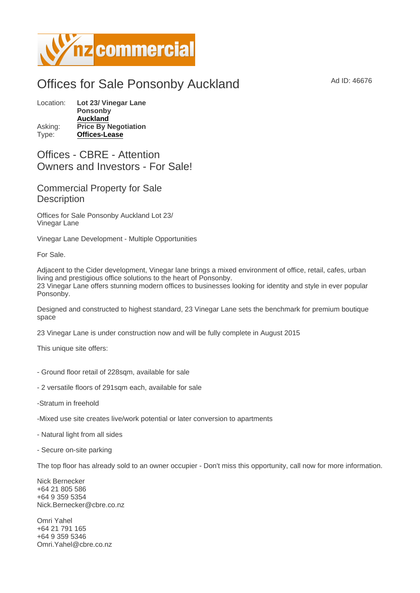## Offices for Sale Ponsonby Auckland Ad ID: 46676

Location: Lot 23/ Vinegar Lane Ponsonby [Auckland](https://www.nzcommercial.co.nz/commercial-property/location/Auckland) Asking: Price By Negotiation Type: [Offices-Lease](https://www.nzcommercial.co.nz/commercial-property/Offices-Lease/New-Zealand)

Offices - CBRE - Attention Owners and Investors - For Sale!

## Commercial Property for Sale **Description**

Offices for Sale Ponsonby Auckland Lot 23/ Vinegar Lane

Vinegar Lane Development - Multiple Opportunities

For Sale.

Adjacent to the Cider development, Vinegar lane brings a mixed environment of office, retail, cafes, urban living and prestigious office solutions to the heart of Ponsonby. 23 Vinegar Lane offers stunning modern offices to businesses looking for identity and style in ever popular Ponsonby.

Designed and constructed to highest standard, 23 Vinegar Lane sets the benchmark for premium boutique space

23 Vinegar Lane is under construction now and will be fully complete in August 2015

This unique site offers:

- Ground floor retail of 228sqm, available for sale
- 2 versatile floors of 291sqm each, available for sale
- -Stratum in freehold
- -Mixed use site creates live/work potential or later conversion to apartments
- Natural light from all sides
- Secure on-site parking

The top floor has already sold to an owner occupier - Don't miss this opportunity, call now for more information.

Nick Bernecker +64 21 805 586 +64 9 359 5354 Nick.Bernecker@cbre.co.nz

Omri Yahel +64 21 791 165 +64 9 359 5346 Omri.Yahel@cbre.co.nz